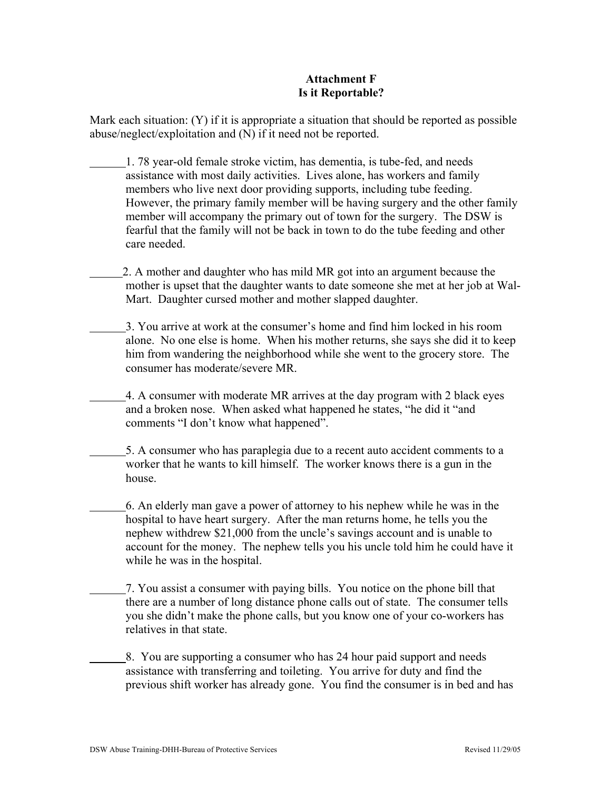## **Attachment F Is it Reportable?**

Mark each situation: (Y) if it is appropriate a situation that should be reported as possible abuse/neglect/exploitation and (N) if it need not be reported.

- 1. 78 year-old female stroke victim, has dementia, is tube-fed, and needs assistance with most daily activities. Lives alone, has workers and family members who live next door providing supports, including tube feeding. However, the primary family member will be having surgery and the other family member will accompany the primary out of town for the surgery. The DSW is fearful that the family will not be back in town to do the tube feeding and other care needed.
- 2. A mother and daughter who has mild MR got into an argument because the mother is upset that the daughter wants to date someone she met at her job at Wal-Mart. Daughter cursed mother and mother slapped daughter.
- 3. You arrive at work at the consumer's home and find him locked in his room alone. No one else is home. When his mother returns, she says she did it to keep him from wandering the neighborhood while she went to the grocery store. The consumer has moderate/severe MR.
	- 4. A consumer with moderate MR arrives at the day program with 2 black eyes and a broken nose. When asked what happened he states, "he did it "and comments "I don't know what happened".
	- 5. A consumer who has paraplegia due to a recent auto accident comments to a worker that he wants to kill himself. The worker knows there is a gun in the house.
		- 6. An elderly man gave a power of attorney to his nephew while he was in the hospital to have heart surgery. After the man returns home, he tells you the nephew withdrew \$21,000 from the uncle's savings account and is unable to account for the money. The nephew tells you his uncle told him he could have it while he was in the hospital.
		- 7. You assist a consumer with paying bills. You notice on the phone bill that there are a number of long distance phone calls out of state. The consumer tells you she didn't make the phone calls, but you know one of your co-workers has relatives in that state.
		- 8. You are supporting a consumer who has 24 hour paid support and needs assistance with transferring and toileting. You arrive for duty and find the previous shift worker has already gone. You find the consumer is in bed and has